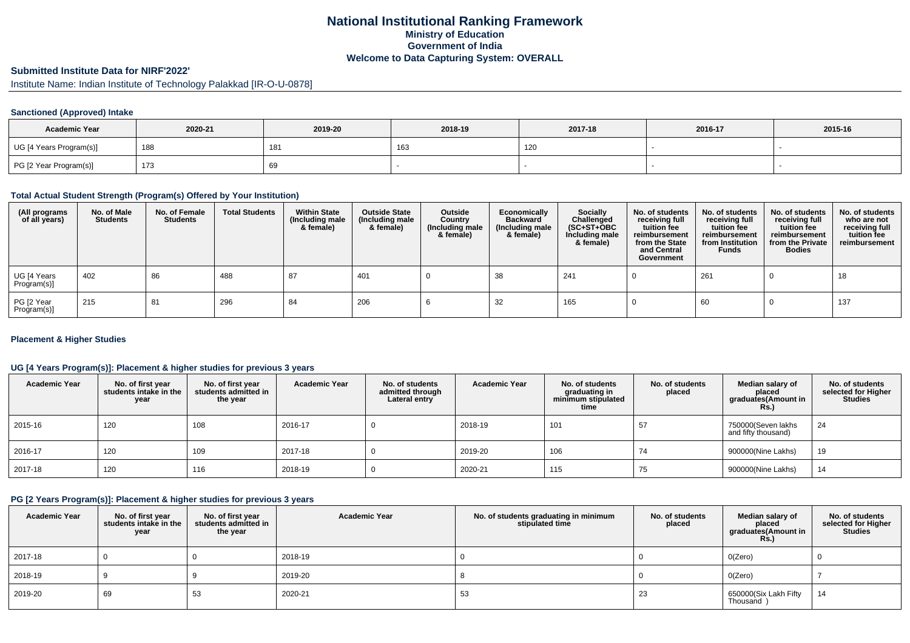# **National Institutional Ranking FrameworkMinistry of Education Government of IndiaWelcome to Data Capturing System: OVERALL**

### **Submitted Institute Data for NIRF'2022'**

Institute Name: Indian Institute of Technology Palakkad [IR-O-U-0878]

## **Sanctioned (Approved) Intake**

| <b>Academic Year</b>    | 2020-21 | 2019-20 | 2018-19 | 2017-18 | 2016-17 | 2015-16 |
|-------------------------|---------|---------|---------|---------|---------|---------|
| UG [4 Years Program(s)] | 188     | 181     | 163     | 120     |         |         |
| PG [2 Year Program(s)]  | 173     | 69      |         |         |         |         |

#### **Total Actual Student Strength (Program(s) Offered by Your Institution)**

| (All programs<br>of all years) | No. of Male<br><b>Students</b> | No. of Female<br><b>Students</b> | <b>Total Students</b> | <b>Within State</b><br>(Including male<br>& female) | <b>Outside State</b><br>(Including male<br>& female) | Outside<br>Country<br>(Including male<br>& female) | Economically<br><b>Backward</b><br>(Including male<br>& female) | <b>Socially</b><br>Challenged<br>$(SC+ST+OBC)$<br>Including male<br>& female) | No. of students<br>receiving full<br>tuition fee<br>reimbursement<br>from the State<br>and Central<br>Government | No. of students<br>receiving full<br>tuition fee<br>reimbursement<br>from Institution<br><b>Funds</b> | No. of students<br>receiving full<br>tuition fee<br>reimbursement<br>from the Private<br><b>Bodies</b> | No. of students<br>who are not<br>receiving full<br>tuition fee<br>reimbursement |
|--------------------------------|--------------------------------|----------------------------------|-----------------------|-----------------------------------------------------|------------------------------------------------------|----------------------------------------------------|-----------------------------------------------------------------|-------------------------------------------------------------------------------|------------------------------------------------------------------------------------------------------------------|-------------------------------------------------------------------------------------------------------|--------------------------------------------------------------------------------------------------------|----------------------------------------------------------------------------------|
| UG [4 Years<br>Program(s)]     | 402                            | 86                               | 488                   | 87                                                  | 401                                                  |                                                    | 38                                                              | 241                                                                           |                                                                                                                  | 261                                                                                                   |                                                                                                        | 18                                                                               |
| PG [2 Year<br>Program(s)]      | 215                            | 81                               | 296                   | -84                                                 | 206                                                  |                                                    | 32                                                              | 165                                                                           |                                                                                                                  | 60                                                                                                    |                                                                                                        | 137                                                                              |

## **Placement & Higher Studies**

## **UG [4 Years Program(s)]: Placement & higher studies for previous 3 years**

| <b>Academic Year</b> | No. of first year<br>students intake in the<br>year | No. of first vear<br>students admitted in<br>the year | <b>Academic Year</b> | No. of students<br>admitted through<br>Lateral entry | <b>Academic Year</b> | No. of students<br>graduating in<br>minimum stipulated<br>time | No. of students<br>placed | Median salary of<br>placed<br>graduates(Amount in<br><b>Rs.)</b> | No. of students<br>selected for Higher<br>Studies |
|----------------------|-----------------------------------------------------|-------------------------------------------------------|----------------------|------------------------------------------------------|----------------------|----------------------------------------------------------------|---------------------------|------------------------------------------------------------------|---------------------------------------------------|
| 2015-16              | 120                                                 | 108                                                   | 2016-17              |                                                      | 2018-19              | 101                                                            | 57                        | 750000(Seven lakhs<br>and fifty thousand)                        | 24                                                |
| 2016-17              | 120                                                 | 109                                                   | 2017-18              |                                                      | 2019-20              | 106                                                            | 74                        | 900000(Nine Lakhs)                                               | 19                                                |
| 2017-18              | 120                                                 | 116                                                   | 2018-19              |                                                      | 2020-21              | 115                                                            | 75                        | 900000(Nine Lakhs)                                               | 14                                                |

#### **PG [2 Years Program(s)]: Placement & higher studies for previous 3 years**

| <b>Academic Year</b> | No. of first year<br>students intake in the<br>year | No. of first year<br>students admitted in<br>the year | <b>Academic Year</b> | No. of students graduating in minimum<br>stipulated time | No. of students<br>placed | Median salary of<br>placed<br>graduates(Amount in<br><b>Rs.)</b> | No. of students<br>selected for Higher<br><b>Studies</b> |
|----------------------|-----------------------------------------------------|-------------------------------------------------------|----------------------|----------------------------------------------------------|---------------------------|------------------------------------------------------------------|----------------------------------------------------------|
| 2017-18              |                                                     |                                                       | 2018-19              |                                                          |                           | O(Zero)                                                          |                                                          |
| 2018-19              |                                                     |                                                       | 2019-20              |                                                          |                           | O(Zero)                                                          |                                                          |
| 2019-20              | 69                                                  | -53                                                   | 2020-21              | 53                                                       | دے                        | 650000(Six Lakh Fifty<br>Thousand                                | 14                                                       |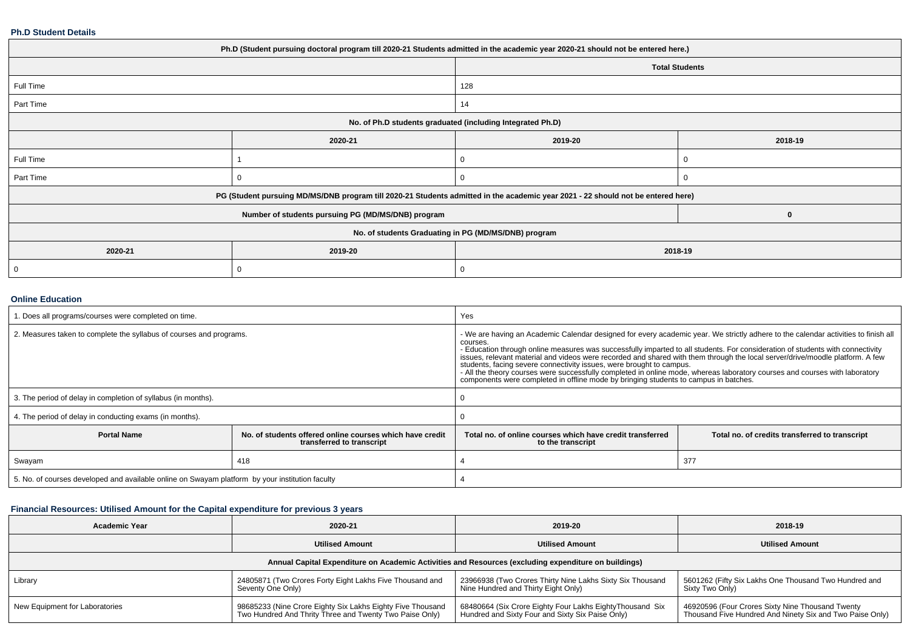#### **Ph.D Student Details**

| Ph.D (Student pursuing doctoral program till 2020-21 Students admitted in the academic year 2020-21 should not be entered here.) |                                                    |                                                                                                                                  |                       |  |  |  |
|----------------------------------------------------------------------------------------------------------------------------------|----------------------------------------------------|----------------------------------------------------------------------------------------------------------------------------------|-----------------------|--|--|--|
|                                                                                                                                  |                                                    |                                                                                                                                  | <b>Total Students</b> |  |  |  |
| Full Time                                                                                                                        |                                                    | 128                                                                                                                              |                       |  |  |  |
| Part Time                                                                                                                        |                                                    | 14                                                                                                                               |                       |  |  |  |
| No. of Ph.D students graduated (including Integrated Ph.D)                                                                       |                                                    |                                                                                                                                  |                       |  |  |  |
|                                                                                                                                  | 2020-21                                            | 2019-20                                                                                                                          | 2018-19               |  |  |  |
| Full Time                                                                                                                        |                                                    |                                                                                                                                  |                       |  |  |  |
| Part Time                                                                                                                        | 0                                                  |                                                                                                                                  |                       |  |  |  |
|                                                                                                                                  |                                                    | PG (Student pursuing MD/MS/DNB program till 2020-21 Students admitted in the academic year 2021 - 22 should not be entered here) |                       |  |  |  |
|                                                                                                                                  | Number of students pursuing PG (MD/MS/DNB) program |                                                                                                                                  | 0                     |  |  |  |
|                                                                                                                                  |                                                    | No. of students Graduating in PG (MD/MS/DNB) program                                                                             |                       |  |  |  |
| 2020-21                                                                                                                          | 2019-20                                            | 2018-19                                                                                                                          |                       |  |  |  |
| 0                                                                                                                                | 0                                                  |                                                                                                                                  |                       |  |  |  |

# **Online Education**

| . Does all programs/courses were completed on time.                                             |                                                                                       | Yes                                                                                                                                                                                                                                                                                                                                                                                                                                                                                                                                                                                                                                                                                                              |                                                |  |
|-------------------------------------------------------------------------------------------------|---------------------------------------------------------------------------------------|------------------------------------------------------------------------------------------------------------------------------------------------------------------------------------------------------------------------------------------------------------------------------------------------------------------------------------------------------------------------------------------------------------------------------------------------------------------------------------------------------------------------------------------------------------------------------------------------------------------------------------------------------------------------------------------------------------------|------------------------------------------------|--|
| 2. Measures taken to complete the syllabus of courses and programs.                             |                                                                                       | - We are having an Academic Calendar designed for every academic year. We strictly adhere to the calendar activities to finish all<br>courses.<br>- Education through online measures was successfully imparted to all students. For consideration of students with connectivity<br>issues, relevant material and videos were recorded and shared with them through the local server/drive/moodle platform. A few<br>students, facing severe connectivity issues, were brought to campus.<br>- All the theory courses were successfully completed in online mode, whereas laboratory courses and courses with laboratory<br>components were completed in offline mode by bringing students to campus in batches. |                                                |  |
| 3. The period of delay in completion of syllabus (in months).                                   |                                                                                       |                                                                                                                                                                                                                                                                                                                                                                                                                                                                                                                                                                                                                                                                                                                  |                                                |  |
| 4. The period of delay in conducting exams (in months).                                         |                                                                                       |                                                                                                                                                                                                                                                                                                                                                                                                                                                                                                                                                                                                                                                                                                                  |                                                |  |
| <b>Portal Name</b>                                                                              | No, of students offered online courses which have credit<br>transferred to transcript | Total no, of online courses which have credit transferred<br>to the transcript                                                                                                                                                                                                                                                                                                                                                                                                                                                                                                                                                                                                                                   | Total no. of credits transferred to transcript |  |
| Swayam                                                                                          | 418                                                                                   |                                                                                                                                                                                                                                                                                                                                                                                                                                                                                                                                                                                                                                                                                                                  | 377                                            |  |
| 5. No. of courses developed and available online on Swayam platform by your institution faculty |                                                                                       |                                                                                                                                                                                                                                                                                                                                                                                                                                                                                                                                                                                                                                                                                                                  |                                                |  |

## **Financial Resources: Utilised Amount for the Capital expenditure for previous 3 years**

| <b>Academic Year</b>                                                                                 | 2020-21                                                                                                               | 2019-20                                                                                                       | 2018-19                                                                                                      |  |  |  |  |
|------------------------------------------------------------------------------------------------------|-----------------------------------------------------------------------------------------------------------------------|---------------------------------------------------------------------------------------------------------------|--------------------------------------------------------------------------------------------------------------|--|--|--|--|
|                                                                                                      | <b>Utilised Amount</b>                                                                                                | <b>Utilised Amount</b>                                                                                        | <b>Utilised Amount</b>                                                                                       |  |  |  |  |
| Annual Capital Expenditure on Academic Activities and Resources (excluding expenditure on buildings) |                                                                                                                       |                                                                                                               |                                                                                                              |  |  |  |  |
| Library                                                                                              | 24805871 (Two Crores Forty Eight Lakhs Five Thousand and<br>Seventy One Only)                                         | 23966938 (Two Crores Thirty Nine Lakhs Sixty Six Thousand<br>Nine Hundred and Thirty Eight Only)              | 5601262 (Fifty Six Lakhs One Thousand Two Hundred and<br>Sixty Two Only)                                     |  |  |  |  |
| New Equipment for Laboratories                                                                       | 98685233 (Nine Crore Eighty Six Lakhs Eighty Five Thousand<br>Two Hundred And Thrity Three and Twenty Two Paise Only) | 68480664 (Six Crore Eighty Four Lakhs Eighty Thousand Six<br>Hundred and Sixty Four and Sixty Six Paise Only) | 46920596 (Four Crores Sixty Nine Thousand Twenty<br>Thousand Five Hundred And Ninety Six and Two Paise Only) |  |  |  |  |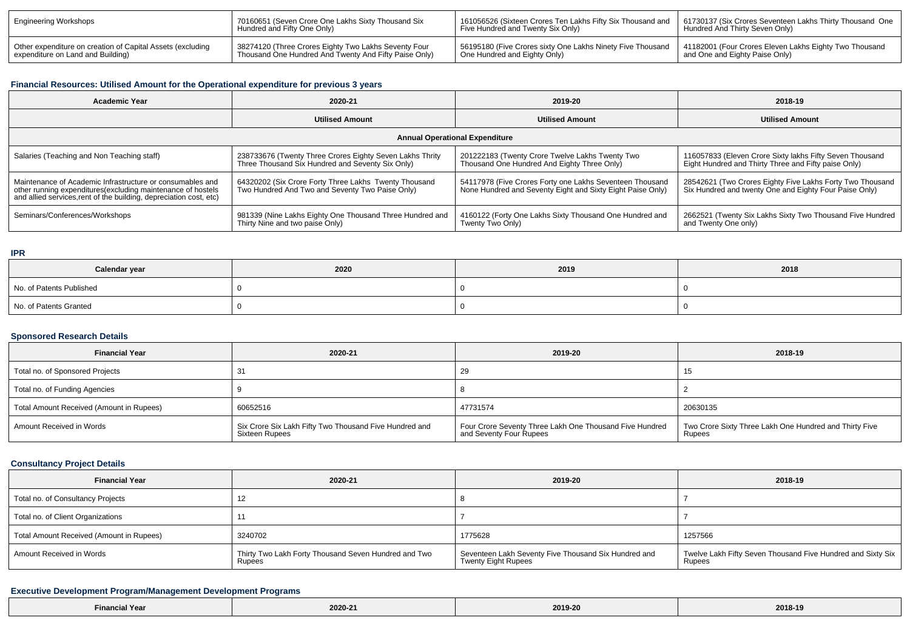| Engineering Workshops                                      | 70160651 (Seven Crore One Lakhs Sixty Thousand Six    | 161056526 (Sixteen Crores Ten Lakhs Fifty Six Thousand and | 61730137 (Six Crores Seventeen Lakhs Thirty Thousand One |
|------------------------------------------------------------|-------------------------------------------------------|------------------------------------------------------------|----------------------------------------------------------|
|                                                            | Hundred and Fifty One Only)                           | Five Hundred and Twenty Six Only)                          | Hundred And Thirty Seven Only)                           |
| Other expenditure on creation of Capital Assets (excluding | 38274120 (Three Crores Eighty Two Lakhs Seventy Four  | 56195180 (Five Crores sixty One Lakhs Ninety Five Thousand | 41182001 (Four Crores Eleven Lakhs Eighty Two Thousand   |
| expenditure on Land and Building)                          | Thousand One Hundred And Twenty And Fifty Paise Only) | One Hundred and Eighty Only)                               | and One and Eighty Paise Only)                           |

# **Financial Resources: Utilised Amount for the Operational expenditure for previous 3 years**

| Academic Year                                                                                                                                                                                  | 2020-21                                                                                                      |                                                                                                                        | 2018-19                                                                                                             |  |  |  |  |  |
|------------------------------------------------------------------------------------------------------------------------------------------------------------------------------------------------|--------------------------------------------------------------------------------------------------------------|------------------------------------------------------------------------------------------------------------------------|---------------------------------------------------------------------------------------------------------------------|--|--|--|--|--|
|                                                                                                                                                                                                | <b>Utilised Amount</b>                                                                                       | <b>Utilised Amount</b>                                                                                                 | <b>Utilised Amount</b>                                                                                              |  |  |  |  |  |
| <b>Annual Operational Expenditure</b>                                                                                                                                                          |                                                                                                              |                                                                                                                        |                                                                                                                     |  |  |  |  |  |
| Salaries (Teaching and Non Teaching staff)                                                                                                                                                     | 238733676 (Twenty Three Crores Eighty Seven Lakhs Thrity<br>Three Thousand Six Hundred and Seventy Six Only) | 201222183 (Twenty Crore Twelve Lakhs Twenty Two<br>Thousand One Hundred And Eighty Three Only)                         | 116057833 (Eleven Crore Sixty lakhs Fifty Seven Thousand<br>Eight Hundred and Thirty Three and Fifty paise Only)    |  |  |  |  |  |
| Maintenance of Academic Infrastructure or consumables and<br>other running expenditures(excluding maintenance of hostels<br>and allied services, rent of the building, depreciation cost, etc) | 64320202 (Six Crore Forty Three Lakhs Twenty Thousand<br>Two Hundred And Two and Seventy Two Paise Only)     | 54117978 (Five Crores Forty one Lakhs Seventeen Thousand<br>None Hundred and Seventy Eight and Sixty Eight Paise Only) | 28542621 (Two Crores Eighty Five Lakhs Forty Two Thousand<br>Six Hundred and twenty One and Eighty Four Paise Only) |  |  |  |  |  |
| Seminars/Conferences/Workshops                                                                                                                                                                 | 981339 (Nine Lakhs Eighty One Thousand Three Hundred and<br>Thirty Nine and two paise Only)                  | 4160122 (Forty One Lakhs Sixty Thousand One Hundred and<br>Twenty Two Only)                                            | 2662521 (Twenty Six Lakhs Sixty Two Thousand Five Hundred<br>and Twenty One only)                                   |  |  |  |  |  |

## **IPR**

| Calendar year            | 2020 | 2019 | 2018 |
|--------------------------|------|------|------|
| No. of Patents Published |      |      |      |
| No. of Patents Granted   |      |      |      |

## **Sponsored Research Details**

| <b>Financial Year</b>                    | 2020-21                                                                  | 2019-20                                                                            | 2018-19                                                          |
|------------------------------------------|--------------------------------------------------------------------------|------------------------------------------------------------------------------------|------------------------------------------------------------------|
| Total no. of Sponsored Projects          | -31                                                                      | 29                                                                                 |                                                                  |
| Total no. of Funding Agencies            |                                                                          |                                                                                    |                                                                  |
| Total Amount Received (Amount in Rupees) | 60652516                                                                 | 47731574                                                                           | 20630135                                                         |
| Amount Received in Words                 | Six Crore Six Lakh Fifty Two Thousand Five Hundred and<br>Sixteen Rupees | Four Crore Seventy Three Lakh One Thousand Five Hundred<br>and Seventy Four Rupees | Two Crore Sixty Three Lakh One Hundred and Thirty Five<br>Rupees |

## **Consultancy Project Details**

| <b>Financial Year</b>                    | 2020-21                                                        | 2019-20                                                                            | 2018-19                                                               |
|------------------------------------------|----------------------------------------------------------------|------------------------------------------------------------------------------------|-----------------------------------------------------------------------|
| Total no. of Consultancy Projects        | ╶╹                                                             |                                                                                    |                                                                       |
| Total no. of Client Organizations        |                                                                |                                                                                    |                                                                       |
| Total Amount Received (Amount in Rupees) | 3240702                                                        | 1775628                                                                            | 1257566                                                               |
| Amount Received in Words                 | Thirty Two Lakh Forty Thousand Seven Hundred and Two<br>Rupees | Seventeen Lakh Seventy Five Thousand Six Hundred and<br><b>Twenty Eight Rupees</b> | Twelve Lakh Fifty Seven Thousand Five Hundred and Sixty Six<br>Rupees |

# **Executive Development Program/Management Development Programs**

| inancial Year <sup>:</sup> |         | 2019-20 |         |
|----------------------------|---------|---------|---------|
|                            | 2020-21 |         | 2018-19 |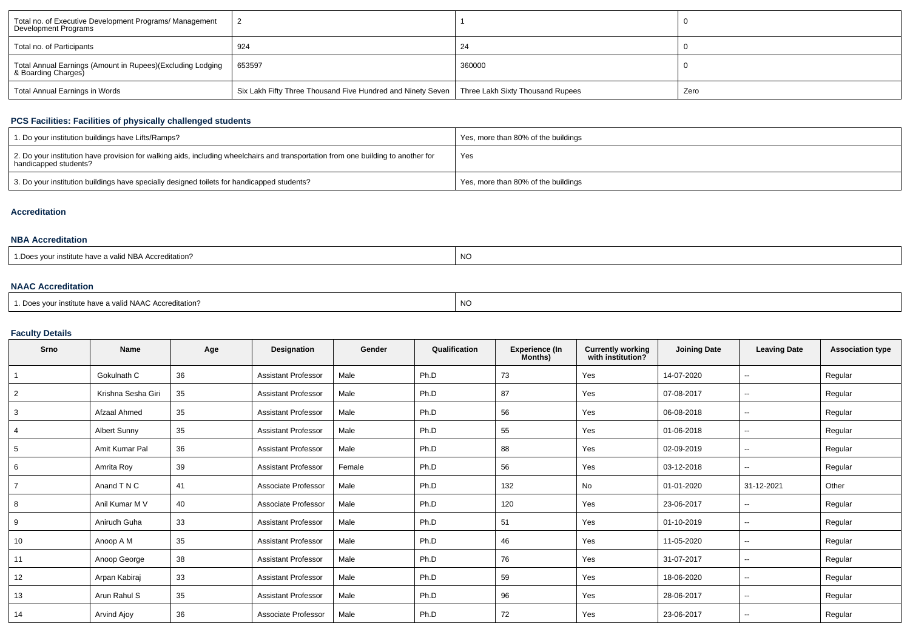| Total no. of Executive Development Programs/ Management<br>Development Programs   |                                                                                                |        |      |
|-----------------------------------------------------------------------------------|------------------------------------------------------------------------------------------------|--------|------|
| Total no. of Participants                                                         | 924                                                                                            | 24     |      |
| Total Annual Earnings (Amount in Rupees)(Excluding Lodging<br>& Boarding Charges) | 653597                                                                                         | 360000 |      |
| Total Annual Earnings in Words                                                    | Six Lakh Fifty Three Thousand Five Hundred and Ninety Seven   Three Lakh Sixty Thousand Rupees |        | Zero |

# **PCS Facilities: Facilities of physically challenged students**

| 1. Do your institution buildings have Lifts/Ramps?                                                                                                         | Yes, more than 80% of the buildings |
|------------------------------------------------------------------------------------------------------------------------------------------------------------|-------------------------------------|
| 2. Do your institution have provision for walking aids, including wheelchairs and transportation from one building to another for<br>handicapped students? | Yes                                 |
| 3. Do your institution buildings have specially designed toilets for handicapped students?                                                                 | Yes, more than 80% of the buildings |

## **Accreditation**

#### **NBA Accreditation**

| $\cdots$<br>valid NBA Accreditation?<br>' institute nave a ' | $\sim$<br>NC |
|--------------------------------------------------------------|--------------|
|--------------------------------------------------------------|--------------|

# **NAAC Accreditation**

| 1. Does your institute have a valid NAAC Accreditation? | <b>NC</b> |
|---------------------------------------------------------|-----------|
|---------------------------------------------------------|-----------|

# **Faculty Details**

| Srno | <b>Name</b>         | Age | Designation                | Gender | Qualification | <b>Experience (In</b><br>Months) | Currently working<br>with institution? | <b>Joining Date</b> | <b>Leaving Date</b>      | <b>Association type</b> |
|------|---------------------|-----|----------------------------|--------|---------------|----------------------------------|----------------------------------------|---------------------|--------------------------|-------------------------|
|      | Gokulnath C         | 36  | <b>Assistant Professor</b> | Male   | Ph.D          | 73                               | Yes                                    | 14-07-2020          | $-$                      | Regular                 |
| 2    | Krishna Sesha Giri  | 35  | <b>Assistant Professor</b> | Male   | Ph.D          | 87                               | Yes                                    | 07-08-2017          | $\sim$                   | Regular                 |
| 3    | Afzaal Ahmed        | 35  | <b>Assistant Professor</b> | Male   | Ph.D          | 56                               | Yes                                    | 06-08-2018          | ۰.                       | Regular                 |
| 4    | <b>Albert Sunny</b> | 35  | <b>Assistant Professor</b> | Male   | Ph.D          | 55                               | Yes                                    | 01-06-2018          | $-$                      | Regular                 |
| 5    | Amit Kumar Pal      | 36  | <b>Assistant Professor</b> | Male   | Ph.D          | 88                               | Yes                                    | 02-09-2019          | $-$                      | Regular                 |
| 6    | Amrita Roy          | 39  | <b>Assistant Professor</b> | Female | Ph.D          | 56                               | Yes                                    | 03-12-2018          | $-$                      | Regular                 |
|      | Anand T N C         | 41  | Associate Professor        | Male   | Ph.D          | 132                              | No                                     | 01-01-2020          | 31-12-2021               | Other                   |
| 8    | Anil Kumar M V      | 40  | Associate Professor        | Male   | Ph.D          | 120                              | Yes                                    | 23-06-2017          | $-$                      | Regular                 |
| 9    | Anirudh Guha        | 33  | <b>Assistant Professor</b> | Male   | Ph.D          | 51                               | Yes                                    | 01-10-2019          | $\sim$                   | Regular                 |
| 10   | Anoop A M           | 35  | <b>Assistant Professor</b> | Male   | Ph.D          | 46                               | Yes                                    | 11-05-2020          | $-$                      | Regular                 |
| 11   | Anoop George        | 38  | <b>Assistant Professor</b> | Male   | Ph.D          | 76                               | Yes                                    | 31-07-2017          | $\sim$                   | Regular                 |
| 12   | Arpan Kabiraj       | 33  | <b>Assistant Professor</b> | Male   | Ph.D          | 59                               | Yes                                    | 18-06-2020          | $-$                      | Regular                 |
| 13   | Arun Rahul S        | 35  | <b>Assistant Professor</b> | Male   | Ph.D          | 96                               | Yes                                    | 28-06-2017          | $\overline{\phantom{a}}$ | Regular                 |
| 14   | Arvind Ajoy         | 36  | Associate Professor        | Male   | Ph.D          | 72                               | Yes                                    | 23-06-2017          | $-$                      | Regular                 |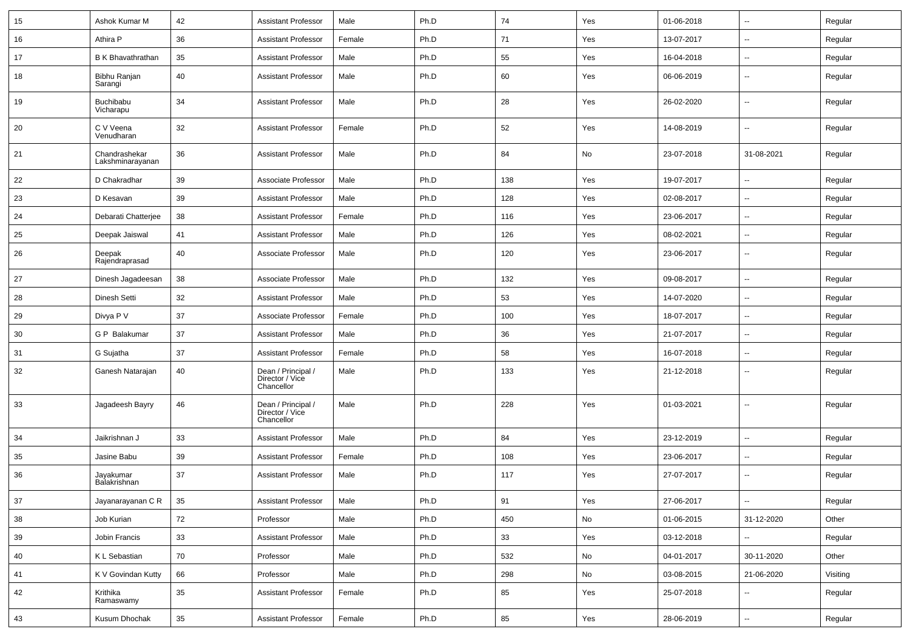| 15 | Ashok Kumar M                     | 42 | <b>Assistant Professor</b>                          | Male   | Ph.D | 74  | Yes | 01-06-2018 | $\overline{\phantom{a}}$ | Regular  |
|----|-----------------------------------|----|-----------------------------------------------------|--------|------|-----|-----|------------|--------------------------|----------|
| 16 | Athira P                          | 36 | <b>Assistant Professor</b>                          | Female | Ph.D | 71  | Yes | 13-07-2017 | --                       | Regular  |
| 17 | <b>B</b> K Bhavathrathan          | 35 | <b>Assistant Professor</b>                          | Male   | Ph.D | 55  | Yes | 16-04-2018 | $\overline{\phantom{a}}$ | Regular  |
| 18 | Bibhu Ranjan<br>Sarangi           | 40 | <b>Assistant Professor</b>                          | Male   | Ph.D | 60  | Yes | 06-06-2019 | $\overline{\phantom{a}}$ | Regular  |
| 19 | <b>Buchibabu</b><br>Vicharapu     | 34 | <b>Assistant Professor</b>                          | Male   | Ph.D | 28  | Yes | 26-02-2020 | --                       | Regular  |
| 20 | C V Veena<br>Venudharan           | 32 | <b>Assistant Professor</b>                          | Female | Ph.D | 52  | Yes | 14-08-2019 | $\overline{\phantom{a}}$ | Regular  |
| 21 | Chandrashekar<br>Lakshminarayanan | 36 | <b>Assistant Professor</b>                          | Male   | Ph.D | 84  | No  | 23-07-2018 | 31-08-2021               | Regular  |
| 22 | D Chakradhar                      | 39 | Associate Professor                                 | Male   | Ph.D | 138 | Yes | 19-07-2017 | --                       | Regular  |
| 23 | D Kesavan                         | 39 | <b>Assistant Professor</b>                          | Male   | Ph.D | 128 | Yes | 02-08-2017 | --                       | Regular  |
| 24 | Debarati Chatterjee               | 38 | <b>Assistant Professor</b>                          | Female | Ph.D | 116 | Yes | 23-06-2017 | $\overline{\phantom{a}}$ | Regular  |
| 25 | Deepak Jaiswal                    | 41 | <b>Assistant Professor</b>                          | Male   | Ph.D | 126 | Yes | 08-02-2021 | ⊷.                       | Regular  |
| 26 | Deepak<br>Rajendraprasad          | 40 | Associate Professor                                 | Male   | Ph.D | 120 | Yes | 23-06-2017 | --                       | Regular  |
| 27 | Dinesh Jagadeesan                 | 38 | Associate Professor                                 | Male   | Ph.D | 132 | Yes | 09-08-2017 | --                       | Regular  |
| 28 | Dinesh Setti                      | 32 | <b>Assistant Professor</b>                          | Male   | Ph.D | 53  | Yes | 14-07-2020 | --                       | Regular  |
| 29 | Divya P V                         | 37 | Associate Professor                                 | Female | Ph.D | 100 | Yes | 18-07-2017 | --                       | Regular  |
| 30 | G P Balakumar                     | 37 | <b>Assistant Professor</b>                          | Male   | Ph.D | 36  | Yes | 21-07-2017 | --                       | Regular  |
| 31 | G Sujatha                         | 37 | <b>Assistant Professor</b>                          | Female | Ph.D | 58  | Yes | 16-07-2018 | ⊷.                       | Regular  |
| 32 | Ganesh Natarajan                  | 40 | Dean / Principal /<br>Director / Vice<br>Chancellor | Male   | Ph.D | 133 | Yes | 21-12-2018 | $\overline{\phantom{a}}$ | Regular  |
| 33 | Jagadeesh Bayry                   | 46 | Dean / Principal /<br>Director / Vice<br>Chancellor | Male   | Ph.D | 228 | Yes | 01-03-2021 | $\overline{\phantom{a}}$ | Regular  |
| 34 | Jaikrishnan J                     | 33 | <b>Assistant Professor</b>                          | Male   | Ph.D | 84  | Yes | 23-12-2019 | $\overline{a}$           | Regular  |
| 35 | Jasine Babu                       | 39 | <b>Assistant Professor</b>                          | Female | Ph.D | 108 | Yes | 23-06-2017 | ⊷.                       | Regular  |
| 36 | Jayakumar<br>Balakrishnan         | 37 | <b>Assistant Professor</b>                          | Male   | Ph.D | 117 | Yes | 27-07-2017 | $\overline{\phantom{a}}$ | Regular  |
| 37 | Jayanarayanan C R                 | 35 | <b>Assistant Professor</b>                          | Male   | Ph.D | 91  | Yes | 27-06-2017 | $\sim$                   | Regular  |
| 38 | Job Kurian                        | 72 | Professor                                           | Male   | Ph.D | 450 | No  | 01-06-2015 | 31-12-2020               | Other    |
| 39 | Jobin Francis                     | 33 | <b>Assistant Professor</b>                          | Male   | Ph.D | 33  | Yes | 03-12-2018 | $\overline{\phantom{a}}$ | Regular  |
| 40 | K L Sebastian                     | 70 | Professor                                           | Male   | Ph.D | 532 | No  | 04-01-2017 | 30-11-2020               | Other    |
| 41 | K V Govindan Kutty                | 66 | Professor                                           | Male   | Ph.D | 298 | No  | 03-08-2015 | 21-06-2020               | Visiting |
| 42 | Krithika<br>Ramaswamy             | 35 | <b>Assistant Professor</b>                          | Female | Ph.D | 85  | Yes | 25-07-2018 | $\sim$                   | Regular  |
| 43 | Kusum Dhochak                     | 35 | <b>Assistant Professor</b>                          | Female | Ph.D | 85  | Yes | 28-06-2019 | Ц.                       | Regular  |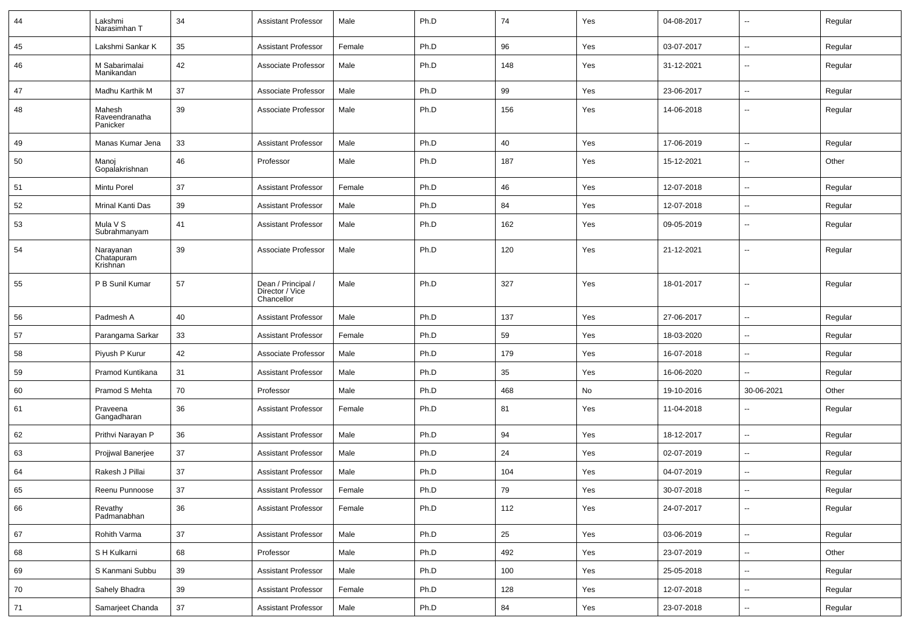| 44 | Lakshmi<br>Narasimhan T              | 34 | <b>Assistant Professor</b>                          | Male   | Ph.D | 74  | Yes | 04-08-2017 |                          | Regular |
|----|--------------------------------------|----|-----------------------------------------------------|--------|------|-----|-----|------------|--------------------------|---------|
| 45 | Lakshmi Sankar K                     | 35 | <b>Assistant Professor</b>                          | Female | Ph.D | 96  | Yes | 03-07-2017 | $\overline{\phantom{a}}$ | Regular |
| 46 | M Sabarimalai<br>Manikandan          | 42 | Associate Professor                                 | Male   | Ph.D | 148 | Yes | 31-12-2021 | --                       | Regular |
| 47 | Madhu Karthik M                      | 37 | Associate Professor                                 | Male   | Ph.D | 99  | Yes | 23-06-2017 | $\overline{\phantom{a}}$ | Regular |
| 48 | Mahesh<br>Raveendranatha<br>Panicker | 39 | Associate Professor                                 | Male   | Ph.D | 156 | Yes | 14-06-2018 | --                       | Regular |
| 49 | Manas Kumar Jena                     | 33 | <b>Assistant Professor</b>                          | Male   | Ph.D | 40  | Yes | 17-06-2019 | -−                       | Regular |
| 50 | Manoj<br>Gopalakrishnan              | 46 | Professor                                           | Male   | Ph.D | 187 | Yes | 15-12-2021 | --                       | Other   |
| 51 | Mintu Porel                          | 37 | <b>Assistant Professor</b>                          | Female | Ph.D | 46  | Yes | 12-07-2018 | -−                       | Regular |
| 52 | Mrinal Kanti Das                     | 39 | <b>Assistant Professor</b>                          | Male   | Ph.D | 84  | Yes | 12-07-2018 | $\overline{a}$           | Regular |
| 53 | Mula V S<br>Subrahmanyam             | 41 | <b>Assistant Professor</b>                          | Male   | Ph.D | 162 | Yes | 09-05-2019 | $\overline{\phantom{a}}$ | Regular |
| 54 | Narayanan<br>Chatapuram<br>Krishnan  | 39 | Associate Professor                                 | Male   | Ph.D | 120 | Yes | 21-12-2021 | $\overline{\phantom{a}}$ | Regular |
| 55 | P B Sunil Kumar                      | 57 | Dean / Principal /<br>Director / Vice<br>Chancellor | Male   | Ph.D | 327 | Yes | 18-01-2017 | $\overline{a}$           | Regular |
| 56 | Padmesh A                            | 40 | <b>Assistant Professor</b>                          | Male   | Ph.D | 137 | Yes | 27-06-2017 | --                       | Regular |
| 57 | Parangama Sarkar                     | 33 | <b>Assistant Professor</b>                          | Female | Ph.D | 59  | Yes | 18-03-2020 | --                       | Regular |
| 58 | Piyush P Kurur                       | 42 | Associate Professor                                 | Male   | Ph.D | 179 | Yes | 16-07-2018 | $\overline{\phantom{a}}$ | Regular |
| 59 | Pramod Kuntikana                     | 31 | <b>Assistant Professor</b>                          | Male   | Ph.D | 35  | Yes | 16-06-2020 | ⊷.                       | Regular |
| 60 | Pramod S Mehta                       | 70 | Professor                                           | Male   | Ph.D | 468 | No  | 19-10-2016 | 30-06-2021               | Other   |
| 61 | Praveena<br>Gangadharan              | 36 | <b>Assistant Professor</b>                          | Female | Ph.D | 81  | Yes | 11-04-2018 | --                       | Regular |
| 62 | Prithvi Narayan P                    | 36 | <b>Assistant Professor</b>                          | Male   | Ph.D | 94  | Yes | 18-12-2017 | $\overline{\phantom{a}}$ | Regular |
| 63 | Projiwal Banerjee                    | 37 | <b>Assistant Professor</b>                          | Male   | Ph.D | 24  | Yes | 02-07-2019 | $\overline{\phantom{a}}$ | Regular |
| 64 | Rakesh J Pillai                      | 37 | <b>Assistant Professor</b>                          | Male   | Ph.D | 104 | Yes | 04-07-2019 | --                       | Regular |
| 65 | Reenu Punnoose                       | 37 | <b>Assistant Professor</b>                          | Female | Ph.D | 79  | Yes | 30-07-2018 | -−                       | Regular |
| 66 | Revathy<br>Padmanabhan               | 36 | <b>Assistant Professor</b>                          | Female | Ph.D | 112 | Yes | 24-07-2017 | $\sim$                   | Regular |
| 67 | Rohith Varma                         | 37 | <b>Assistant Professor</b>                          | Male   | Ph.D | 25  | Yes | 03-06-2019 | $\overline{\phantom{a}}$ | Regular |
| 68 | S H Kulkarni                         | 68 | Professor                                           | Male   | Ph.D | 492 | Yes | 23-07-2019 | $\sim$                   | Other   |
| 69 | S Kanmani Subbu                      | 39 | <b>Assistant Professor</b>                          | Male   | Ph.D | 100 | Yes | 25-05-2018 | $\sim$                   | Regular |
| 70 | Sahely Bhadra                        | 39 | <b>Assistant Professor</b>                          | Female | Ph.D | 128 | Yes | 12-07-2018 | -−                       | Regular |
| 71 | Samarjeet Chanda                     | 37 | <b>Assistant Professor</b>                          | Male   | Ph.D | 84  | Yes | 23-07-2018 | щ.                       | Regular |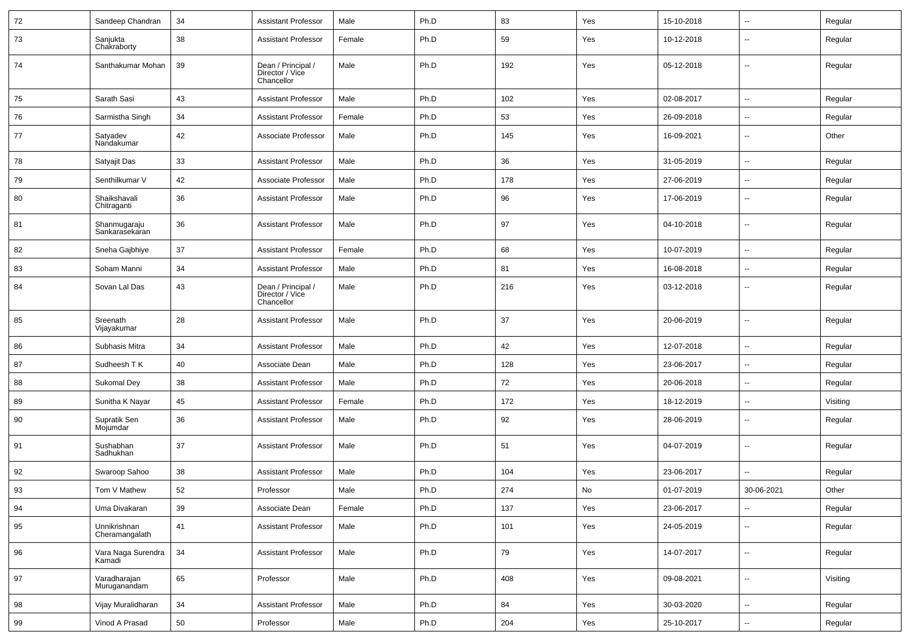| 72 | Sandeep Chandran               | 34     | <b>Assistant Professor</b>                          | Male   | Ph.D | 83  | Yes | 15-10-2018 | ⊷.                       | Regular  |
|----|--------------------------------|--------|-----------------------------------------------------|--------|------|-----|-----|------------|--------------------------|----------|
| 73 | Sanjukta<br>Chakraborty        | 38     | <b>Assistant Professor</b>                          | Female | Ph.D | 59  | Yes | 10-12-2018 | --                       | Regular  |
| 74 | Santhakumar Mohan              | 39     | Dean / Principal /<br>Director / Vice<br>Chancellor | Male   | Ph.D | 192 | Yes | 05-12-2018 | --                       | Regular  |
| 75 | Sarath Sasi                    | 43     | <b>Assistant Professor</b>                          | Male   | Ph.D | 102 | Yes | 02-08-2017 | $\overline{\phantom{a}}$ | Regular  |
| 76 | Sarmistha Singh                | 34     | <b>Assistant Professor</b>                          | Female | Ph.D | 53  | Yes | 26-09-2018 | -−                       | Regular  |
| 77 | Satyadev<br>Nandakumar         | 42     | Associate Professor                                 | Male   | Ph.D | 145 | Yes | 16-09-2021 | -−                       | Other    |
| 78 | Satyajit Das                   | 33     | <b>Assistant Professor</b>                          | Male   | Ph.D | 36  | Yes | 31-05-2019 | $\overline{\phantom{a}}$ | Regular  |
| 79 | Senthilkumar V                 | 42     | Associate Professor                                 | Male   | Ph.D | 178 | Yes | 27-06-2019 | $\overline{\phantom{a}}$ | Regular  |
| 80 | Shaikshavali<br>Chitraganti    | 36     | <b>Assistant Professor</b>                          | Male   | Ph.D | 96  | Yes | 17-06-2019 |                          | Regular  |
| 81 | Shanmugaraju<br>Sankarasekaran | 36     | <b>Assistant Professor</b>                          | Male   | Ph.D | 97  | Yes | 04-10-2018 | -−                       | Regular  |
| 82 | Sneha Gajbhiye                 | 37     | <b>Assistant Professor</b>                          | Female | Ph.D | 68  | Yes | 10-07-2019 | --                       | Regular  |
| 83 | Soham Manni                    | 34     | <b>Assistant Professor</b>                          | Male   | Ph.D | 81  | Yes | 16-08-2018 | ⊷.                       | Regular  |
| 84 | Sovan Lal Das                  | 43     | Dean / Principal /<br>Director / Vice<br>Chancellor | Male   | Ph.D | 216 | Yes | 03-12-2018 | --                       | Regular  |
| 85 | Sreenath<br>Vijayakumar        | 28     | <b>Assistant Professor</b>                          | Male   | Ph.D | 37  | Yes | 20-06-2019 | $\mathbf{u}$             | Regular  |
| 86 | Subhasis Mitra                 | 34     | <b>Assistant Professor</b>                          | Male   | Ph.D | 42  | Yes | 12-07-2018 | $\overline{\phantom{a}}$ | Regular  |
| 87 | Sudheesh T K                   | 40     | Associate Dean                                      | Male   | Ph.D | 128 | Yes | 23-06-2017 | $\overline{\phantom{a}}$ | Regular  |
| 88 | Sukomal Dey                    | 38     | <b>Assistant Professor</b>                          | Male   | Ph.D | 72  | Yes | 20-06-2018 | -−                       | Regular  |
| 89 | Sunitha K Nayar                | 45     | <b>Assistant Professor</b>                          | Female | Ph.D | 172 | Yes | 18-12-2019 | $\overline{\phantom{a}}$ | Visiting |
| 90 | Supratik Sen<br>Mojumdar       | 36     | <b>Assistant Professor</b>                          | Male   | Ph.D | 92  | Yes | 28-06-2019 | --                       | Regular  |
| 91 | Sushabhan<br>Sadhukhan         | 37     | <b>Assistant Professor</b>                          | Male   | Ph.D | 51  | Yes | 04-07-2019 | --                       | Regular  |
| 92 | Swaroop Sahoo                  | 38     | <b>Assistant Professor</b>                          | Male   | Ph.D | 104 | Yes | 23-06-2017 | $\overline{a}$           | Regular  |
| 93 | Tom V Mathew                   | 52     | Professor                                           | Male   | Ph.D | 274 | No  | 01-07-2019 | 30-06-2021               | Other    |
| 94 | Uma Divakaran                  | 39     | Associate Dean                                      | Female | Ph.D | 137 | Yes | 23-06-2017 | Ξ.                       | Regular  |
| 95 | Unnikrishnan<br>Cheramangalath | 41     | <b>Assistant Professor</b>                          | Male   | Ph.D | 101 | Yes | 24-05-2019 | $\sim$                   | Regular  |
| 96 | Vara Naga Surendra<br>Kamadi   | 34     | <b>Assistant Professor</b>                          | Male   | Ph.D | 79  | Yes | 14-07-2017 | $\overline{\phantom{a}}$ | Regular  |
| 97 | Varadharajan<br>Muruganandam   | 65     | Professor                                           | Male   | Ph.D | 408 | Yes | 09-08-2021 | $\overline{\phantom{a}}$ | Visiting |
| 98 | Vijay Muralidharan             | $34\,$ | <b>Assistant Professor</b>                          | Male   | Ph.D | 84  | Yes | 30-03-2020 | $\overline{\phantom{a}}$ | Regular  |
| 99 | Vinod A Prasad                 | 50     | Professor                                           | Male   | Ph.D | 204 | Yes | 25-10-2017 | $\sim$                   | Regular  |